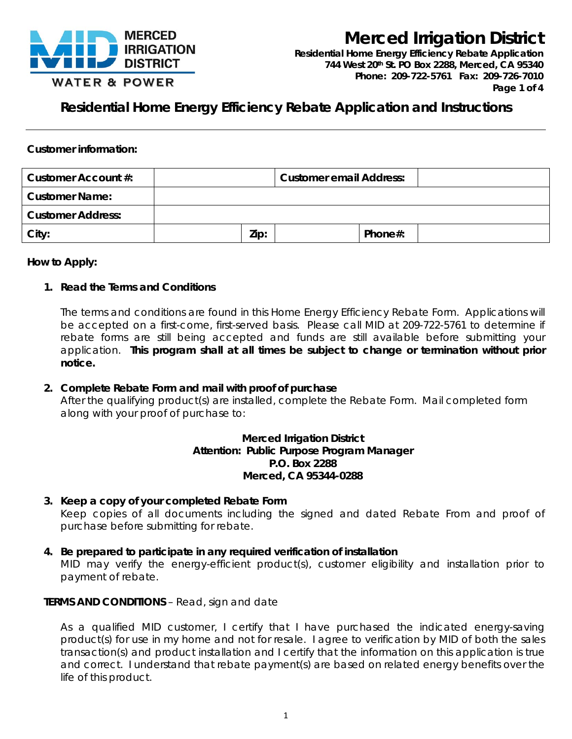

**Residential Home Energy Efficiency Rebate Application** *744 West 20th St. PO Box 2288, Merced, CA 95340 Phone: 209-722-5761 Fax: 209-726-7010 Page 1 of 4*

**Residential Home Energy Efficiency Rebate Application and Instructions**

#### **Customer information:**

| Customer Account #:      | <b>Customer email Address:</b> |  |         |  |
|--------------------------|--------------------------------|--|---------|--|
| <b>Customer Name:</b>    |                                |  |         |  |
| <b>Customer Address:</b> |                                |  |         |  |
| City:                    | Zip:                           |  | Phone#: |  |

#### **How to Apply:**

#### **1. Read the Terms and Conditions**

The terms and conditions are found in this Home Energy Efficiency Rebate Form. Applications will be accepted on a first-come, first-served basis. Please call MID at 209-722-5761 to determine if rebate forms are still being accepted and funds are still available before submitting your application. **This program shall at all times be subject to change or termination without prior notice.**

#### **2. Complete Rebate Form and mail with proof of purchase**

After the qualifying product(s) are installed, complete the Rebate Form. Mail completed form along with your proof of purchase to:

#### **Merced Irrigation District Attention: Public Purpose Program Manager P.O. Box 2288 Merced, CA 95344-0288**

- **3. Keep a copy of your completed Rebate Form** Keep copies of all documents including the signed and dated Rebate From and proof of purchase before submitting for rebate.
- **4. Be prepared to participate in any required verification of installation** MID may verify the energy-efficient product(s), customer eligibility and installation prior to payment of rebate.

#### **TERMS AND CONDITIONS** – Read, sign and date

As a qualified MID customer, I certify that I have purchased the indicated energy-saving product(s) for use in my home and not for resale. I agree to verification by MID of both the sales transaction(s) and product installation and I certify that the information on this application is true and correct. I understand that rebate payment(s) are based on related energy benefits over the life of this product.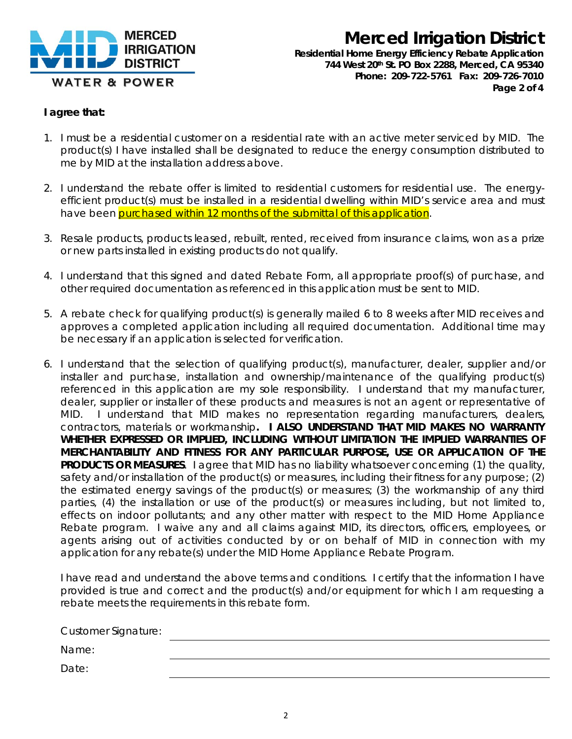

**Residential Home Energy Efficiency Rebate Application** *744 West 20th St. PO Box 2288, Merced, CA 95340 Phone: 209-722-5761 Fax: 209-726-7010 Page 2 of 4*

#### **I agree that:**

- 1. I must be a residential customer on a residential rate with an active meter serviced by MID. The product(s) I have installed shall be designated to reduce the energy consumption distributed to me by MID at the installation address above.
- 2. I understand the rebate offer is limited to residential customers for residential use. The energyefficient product(s) must be installed in a residential dwelling within MID's service area and must have been purchased within 12 months of the submittal of this application.
- 3. Resale products, products leased, rebuilt, rented, received from insurance claims, won as a prize or new parts installed in existing products do not qualify.
- 4. I understand that this signed and dated Rebate Form, all appropriate proof(s) of purchase, and other required documentation as referenced in this application must be sent to MID.
- 5. A rebate check for qualifying product(s) is generally mailed 6 to 8 weeks after MID receives and approves a completed application including all required documentation. Additional time may be necessary if an application is selected for verification.
- 6. I understand that the selection of qualifying product(s), manufacturer, dealer, supplier and/or installer and purchase, installation and ownership/maintenance of the qualifying product(s) referenced in this application are my sole responsibility. I understand that my manufacturer, dealer, supplier or installer of these products and measures is not an agent or representative of MID. I understand that MID makes no representation regarding manufacturers, dealers, contractors, materials or workmanship**. I ALSO UNDERSTAND THAT MID MAKES NO WARRANTY WHETHER EXPRESSED OR IMPLIED, INCLUDING WITHOUT LIMITATION THE IMPLIED WARRANTIES OF MERCHANTABILITY AND FITNESS FOR ANY PARTICULAR PURPOSE, USE OR APPLICATION OF THE PRODUCTS OR MEASURES**. I agree that MID has no liability whatsoever concerning (1) the quality, safety and/or installation of the product(s) or measures, including their fitness for any purpose; (2) the estimated energy savings of the product(s) or measures; (3) the workmanship of any third parties, (4) the installation or use of the product(s) or measures including, but not limited to, effects on indoor pollutants; and any other matter with respect to the MID Home Appliance Rebate program. I waive any and all claims against MID, its directors, officers, employees, or agents arising out of activities conducted by or on behalf of MID in connection with my application for any rebate(s) under the MID Home Appliance Rebate Program.

I have read and understand the above terms and conditions. I certify that the information I have provided is true and correct and the product(s) and/or equipment for which I am requesting a rebate meets the requirements in this rebate form.

| <b>Customer Signature:</b> |  |  |
|----------------------------|--|--|
| Name:                      |  |  |
| Date:                      |  |  |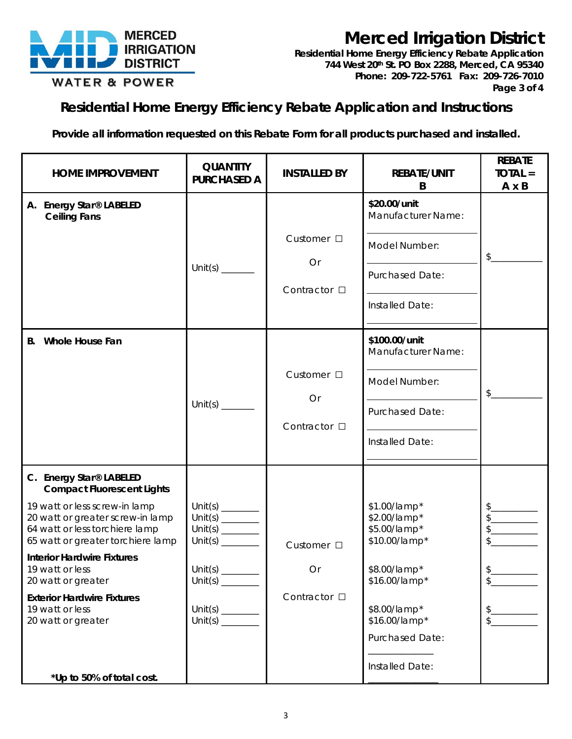

**Residential Home Energy Efficiency Rebate Application** *744 West 20th St. PO Box 2288, Merced, CA 95340 Phone: 209-722-5761 Fax: 209-726-7010 Page 3 of 4*

### **Residential Home Energy Efficiency Rebate Application and Instructions**

**Provide all information requested on this Rebate Form for all products purchased and installed.**

| <b>HOME IMPROVEMENT</b>                                                                                                                                                                                                                                                                                                                                                                           | <b>QUANTITY</b><br><b>PURCHASED A</b>          | <b>INSTALLED BY</b>                      | <b>REBATE/UNIT</b><br>B                                                                                                                                               | <b>REBATE</b><br>$TOIAL =$<br>$A \times B$                                                                                                                                                                                                                                                                                                                                                                                                                                                                                                                                                                                                                                                                                                   |
|---------------------------------------------------------------------------------------------------------------------------------------------------------------------------------------------------------------------------------------------------------------------------------------------------------------------------------------------------------------------------------------------------|------------------------------------------------|------------------------------------------|-----------------------------------------------------------------------------------------------------------------------------------------------------------------------|----------------------------------------------------------------------------------------------------------------------------------------------------------------------------------------------------------------------------------------------------------------------------------------------------------------------------------------------------------------------------------------------------------------------------------------------------------------------------------------------------------------------------------------------------------------------------------------------------------------------------------------------------------------------------------------------------------------------------------------------|
| A. Energy Star® LABELED<br><b>Ceiling Fans</b>                                                                                                                                                                                                                                                                                                                                                    | Unit(s) $\frac{1}{2}$                          | Customer $\Box$<br>Or<br>Contractor □    | \$20.00/unit<br>Manufacturer Name:<br>Model Number:<br><b>Purchased Date:</b><br>Installed Date:                                                                      | \$                                                                                                                                                                                                                                                                                                                                                                                                                                                                                                                                                                                                                                                                                                                                           |
| B. Whole House Fan                                                                                                                                                                                                                                                                                                                                                                                | Unit(s) $\frac{1}{2}$                          | Customer □<br>Or<br>Contractor □         | \$100.00/unit<br>Manufacturer Name:<br>Model Number:<br><b>Purchased Date:</b><br>Installed Date:                                                                     | \$                                                                                                                                                                                                                                                                                                                                                                                                                                                                                                                                                                                                                                                                                                                                           |
| C. Energy Star® LABELED<br><b>Compact Fluorescent Lights</b><br>19 watt or less screw-in lamp<br>20 watt or greater screw-in lamp<br>64 watt or less torchiere lamp<br>65 watt or greater torchiere lamp<br><b>Interior Hardwire Fixtures</b><br>19 watt or less<br>20 watt or greater<br><b>Exterior Hardwire Fixtures</b><br>19 watt or less<br>20 watt or greater<br>*Up to 50% of total cost. | Unit(s) $\frac{1}{2}$<br>Unit(s) $\frac{1}{2}$ | Customer $\square$<br>Or<br>Contractor □ | \$1.00/lamp*<br>\$2.00/lamp*<br>\$5.00/lamp*<br>\$10.00/lamp*<br>\$8.00/lamp*<br>\$16.00/lamp*<br>\$8.00/lamp*<br>\$16.00/lamp*<br>Purchased Date:<br>Installed Date: | $\begin{picture}(20,20) \put(0,0){\line(1,0){10}} \put(15,0){\line(1,0){10}} \put(15,0){\line(1,0){10}} \put(15,0){\line(1,0){10}} \put(15,0){\line(1,0){10}} \put(15,0){\line(1,0){10}} \put(15,0){\line(1,0){10}} \put(15,0){\line(1,0){10}} \put(15,0){\line(1,0){10}} \put(15,0){\line(1,0){10}} \put(15,0){\line(1,0){10}} \put(15,0){\line(1$<br>$\begin{picture}(20,20) \put(0,0){\line(1,0){10}} \put(15,0){\line(1,0){10}} \put(15,0){\line(1,0){10}} \put(15,0){\line(1,0){10}} \put(15,0){\line(1,0){10}} \put(15,0){\line(1,0){10}} \put(15,0){\line(1,0){10}} \put(15,0){\line(1,0){10}} \put(15,0){\line(1,0){10}} \put(15,0){\line(1,0){10}} \put(15,0){\line(1,0){10}} \put(15,0){\line(1$<br>$\frac{1}{2}$<br>$\frac{1}{2}$ |